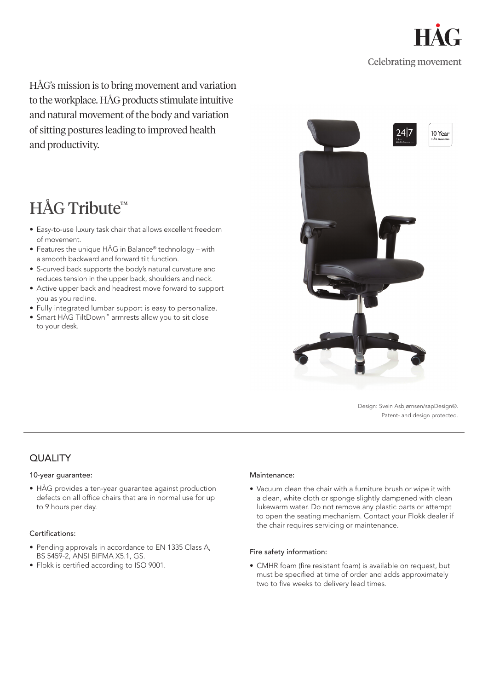

HÅG's mission is to bring movement and variation to the workplace. HÅG products stimulate intuitive and natural movement of the body and variation of sitting postures leading to improved health and productivity.

# HÅG Tribute<sup>™</sup>

- Easy-to-use luxury task chair that allows excellent freedom of movement.
- Features the unique HÅG in Balance® technology with a smooth backward and forward tilt function.
- S-curved back supports the body's natural curvature and reduces tension in the upper back, shoulders and neck.
- Active upper back and headrest move forward to support you as you recline.
- Fully integrated lumbar support is easy to personalize.
- Smart HÅG TiltDown™ armrests allow you to sit close to your desk.



Design: Svein Asbjørnsen/sapDesign®. Patent- and design protected.

## QUALITY

### 10-year guarantee:

• HÅG provides a ten-year guarantee against production defects on all office chairs that are in normal use for up to 9 hours per day.

### Certifications:

- Pending approvals in accordance to EN 1335 Class A, BS 5459-2, ANSI BIFMA X5.1, GS.
- Flokk is certified according to ISO 9001.

#### Maintenance:

• Vacuum clean the chair with a furniture brush or wipe it with a clean, white cloth or sponge slightly dampened with clean lukewarm water. Do not remove any plastic parts or attempt to open the seating mechanism. Contact your Flokk dealer if the chair requires servicing or maintenance.

### Fire safety information:

• CMHR foam (fire resistant foam) is available on request, but must be specified at time of order and adds approximately two to five weeks to delivery lead times.